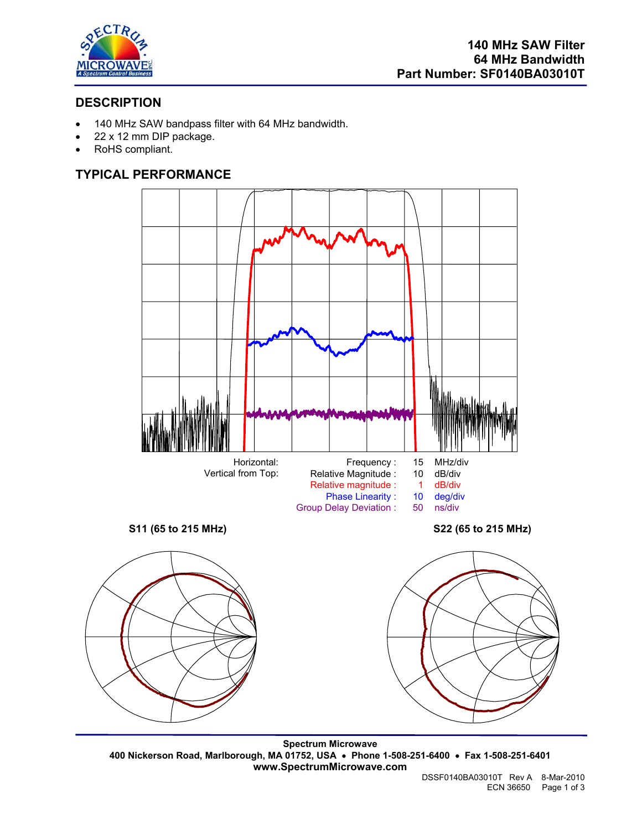

# **DESCRIPTION**

- 140 MHz SAW bandpass filter with 64 MHz bandwidth.
- 22 x 12 mm DIP package.
- RoHS compliant.

# **TYPICAL PERFORMANCE**



**Spectrum Microwave 400 Nickerson Road, Marlborough, MA 01752, USA** • **Phone 1-508-251-6400** • **Fax 1-508-251-6401 www.SpectrumMicrowave.com**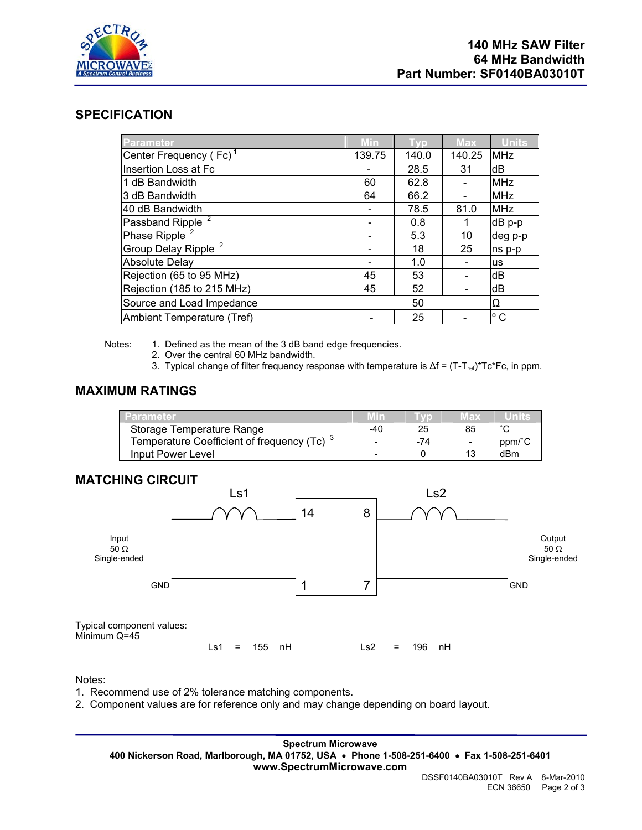

### **SPECIFICATION**

| <b>Parameter</b>                   | <b>Min</b> | <b>Typ</b> | <b>Max</b> | <b>Units</b> |
|------------------------------------|------------|------------|------------|--------------|
| Center Frequency (Fc) <sup>1</sup> | 139.75     | 140.0      | 140.25     | <b>MHz</b>   |
| Insertion Loss at Fc               |            | 28.5       | 31         | dB           |
| 1 dB Bandwidth                     | 60         | 62.8       |            | <b>MHz</b>   |
| 3 dB Bandwidth                     | 64         | 66.2       |            | <b>MHz</b>   |
| 40 dB Bandwidth                    |            | 78.5       | 81.0       | <b>MHz</b>   |
| Passband Ripple                    |            | 0.8        |            | dB p-p       |
| Phase Ripple <sup>2</sup>          |            | 5.3        | 10         | deg p-p      |
| Group Delay Ripple <sup>2</sup>    |            | 18         | 25         | ns p-p       |
| <b>Absolute Delay</b>              |            | 1.0        |            | <b>us</b>    |
| Rejection (65 to 95 MHz)           | 45         | 53         |            | dB           |
| Rejection (185 to 215 MHz)         | 45         | 52         |            | dB           |
| Source and Load Impedance          |            | 50         |            | Ω            |
| Ambient Temperature (Tref)         |            | 25         |            | ° C          |

Notes: 1. Defined as the mean of the 3 dB band edge frequencies.

- 2. Over the central 60 MHz bandwidth.
- 3. Typical change of filter frequency response with temperature is  $\Delta f = (T-T_{ref})^*Tc^*Fc$ , in ppm.

## **MAXIMUM RATINGS**

| Parameter                                 |     |     | Max |        |
|-------------------------------------------|-----|-----|-----|--------|
| Storage Temperature Range                 | -40 | 25  | 85  | $\sim$ |
| Temperature Coefficient of frequency (Tc) |     | -74 | -   | ppm/°C |
| Input Power Level                         |     |     | 13  | dBm    |

## **MATCHING CIRCUIT**



#### Notes:

- 1. Recommend use of 2% tolerance matching components.
- 2. Component values are for reference only and may change depending on board layout.

**Spectrum Microwave 400 Nickerson Road, Marlborough, MA 01752, USA** • **Phone 1-508-251-6400** • **Fax 1-508-251-6401 www.SpectrumMicrowave.com**